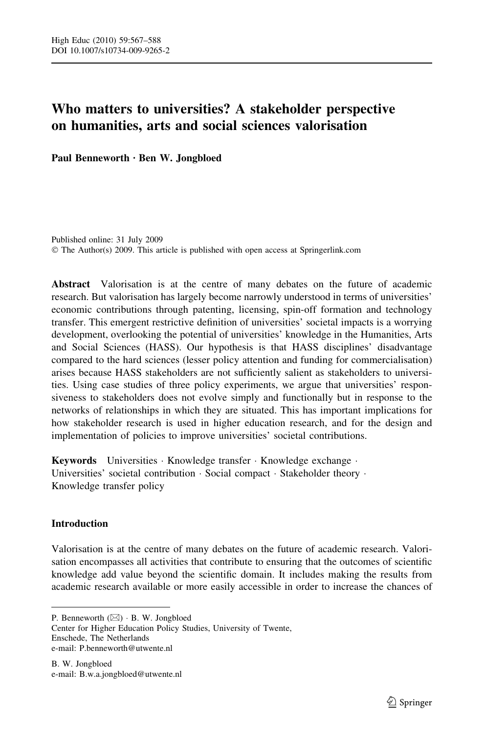# Who matters to universities? A stakeholder perspective on humanities, arts and social sciences valorisation

Paul Benneworth  $\cdot$  Ben W. Jongbloed

Published online: 31 July 2009 The Author(s) 2009. This article is published with open access at Springerlink.com

Abstract Valorisation is at the centre of many debates on the future of academic research. But valorisation has largely become narrowly understood in terms of universities' economic contributions through patenting, licensing, spin-off formation and technology transfer. This emergent restrictive definition of universities' societal impacts is a worrying development, overlooking the potential of universities' knowledge in the Humanities, Arts and Social Sciences (HASS). Our hypothesis is that HASS disciplines' disadvantage compared to the hard sciences (lesser policy attention and funding for commercialisation) arises because HASS stakeholders are not sufficiently salient as stakeholders to universities. Using case studies of three policy experiments, we argue that universities' responsiveness to stakeholders does not evolve simply and functionally but in response to the networks of relationships in which they are situated. This has important implications for how stakeholder research is used in higher education research, and for the design and implementation of policies to improve universities' societal contributions.

Keywords Universities · Knowledge transfer · Knowledge exchange · Universities' societal contribution · Social compact · Stakeholder theory · Knowledge transfer policy

# Introduction

Valorisation is at the centre of many debates on the future of academic research. Valorisation encompasses all activities that contribute to ensuring that the outcomes of scientific knowledge add value beyond the scientific domain. It includes making the results from academic research available or more easily accessible in order to increase the chances of

P. Benneworth  $(\boxtimes) \cdot$  B. W. Jongbloed Center for Higher Education Policy Studies, University of Twente, Enschede, The Netherlands e-mail: P.benneworth@utwente.nl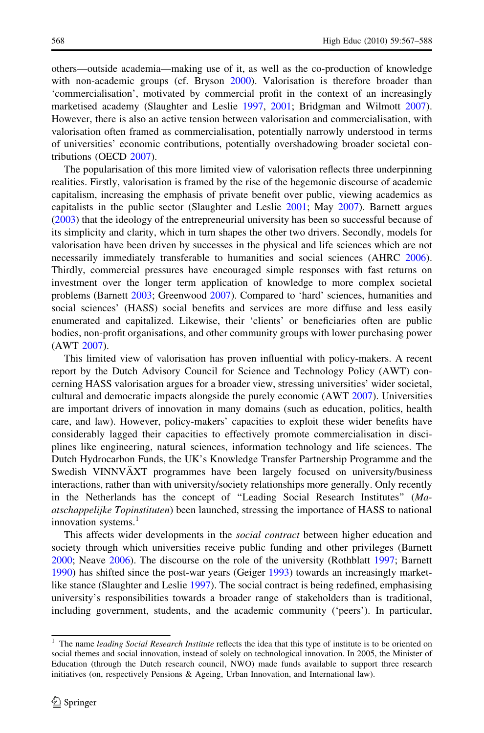others—outside academia—making use of it, as well as the co-production of knowledge with non-academic groups (cf. Bryson [2000](#page-19-0)). Valorisation is therefore broader than 'commercialisation', motivated by commercial profit in the context of an increasingly marketised academy (Slaughter and Leslie [1997](#page-21-0), [2001;](#page-21-0) Bridgman and Wilmott [2007](#page-19-0)). However, there is also an active tension between valorisation and commercialisation, with valorisation often framed as commercialisation, potentially narrowly understood in terms of universities' economic contributions, potentially overshadowing broader societal contributions (OECD [2007](#page-21-0)).

The popularisation of this more limited view of valorisation reflects three underpinning realities. Firstly, valorisation is framed by the rise of the hegemonic discourse of academic capitalism, increasing the emphasis of private benefit over public, viewing academics as capitalists in the public sector (Slaughter and Leslie [2001;](#page-21-0) May [2007](#page-20-0)). Barnett argues ([2003\)](#page-19-0) that the ideology of the entrepreneurial university has been so successful because of its simplicity and clarity, which in turn shapes the other two drivers. Secondly, models for valorisation have been driven by successes in the physical and life sciences which are not necessarily immediately transferable to humanities and social sciences (AHRC [2006](#page-19-0)). Thirdly, commercial pressures have encouraged simple responses with fast returns on investment over the longer term application of knowledge to more complex societal problems (Barnett [2003](#page-19-0); Greenwood [2007\)](#page-20-0). Compared to 'hard' sciences, humanities and social sciences' (HASS) social benefits and services are more diffuse and less easily enumerated and capitalized. Likewise, their 'clients' or beneficiaries often are public bodies, non-profit organisations, and other community groups with lower purchasing power (AWT [2007\)](#page-19-0).

This limited view of valorisation has proven influential with policy-makers. A recent report by the Dutch Advisory Council for Science and Technology Policy (AWT) concerning HASS valorisation argues for a broader view, stressing universities' wider societal, cultural and democratic impacts alongside the purely economic (AWT [2007\)](#page-19-0). Universities are important drivers of innovation in many domains (such as education, politics, health care, and law). However, policy-makers' capacities to exploit these wider benefits have considerably lagged their capacities to effectively promote commercialisation in disciplines like engineering, natural sciences, information technology and life sciences. The Dutch Hydrocarbon Funds, the UK's Knowledge Transfer Partnership Programme and the Swedish VINNVÄXT programmes have been largely focused on university/business interactions, rather than with university/society relationships more generally. Only recently in the Netherlands has the concept of "Leading Social Research Institutes" (Maatschappelijke Topinstituten) been launched, stressing the importance of HASS to national innovation systems.<sup>1</sup>

This affects wider developments in the social contract between higher education and society through which universities receive public funding and other privileges (Barnett [2000;](#page-19-0) Neave [2006](#page-21-0)). The discourse on the role of the university (Rothblatt [1997;](#page-21-0) Barnett [1990\)](#page-19-0) has shifted since the post-war years (Geiger [1993\)](#page-20-0) towards an increasingly marketlike stance (Slaughter and Leslie [1997](#page-21-0)). The social contract is being redefined, emphasising university's responsibilities towards a broader range of stakeholders than is traditional, including government, students, and the academic community ('peers'). In particular,

 $1$  The name leading Social Research Institute reflects the idea that this type of institute is to be oriented on social themes and social innovation, instead of solely on technological innovation. In 2005, the Minister of Education (through the Dutch research council, NWO) made funds available to support three research initiatives (on, respectively Pensions & Ageing, Urban Innovation, and International law).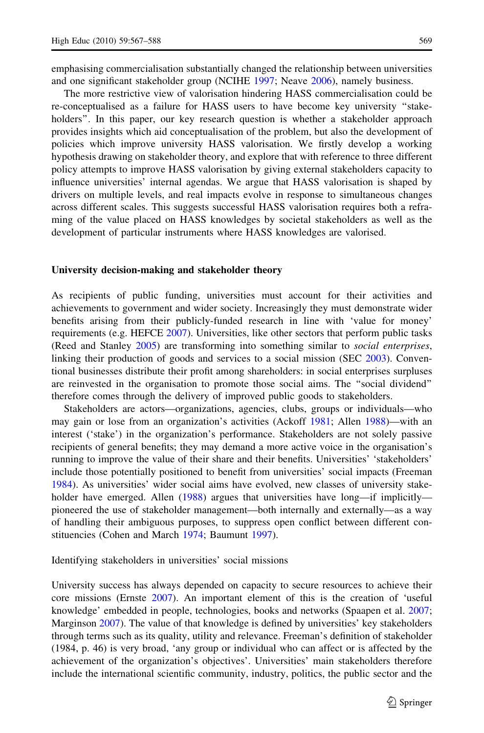emphasising commercialisation substantially changed the relationship between universities and one significant stakeholder group (NCIHE [1997](#page-21-0); Neave [2006](#page-21-0)), namely business.

The more restrictive view of valorisation hindering HASS commercialisation could be re-conceptualised as a failure for HASS users to have become key university ''stakeholders". In this paper, our key research question is whether a stakeholder approach provides insights which aid conceptualisation of the problem, but also the development of policies which improve university HASS valorisation. We firstly develop a working hypothesis drawing on stakeholder theory, and explore that with reference to three different policy attempts to improve HASS valorisation by giving external stakeholders capacity to influence universities' internal agendas. We argue that HASS valorisation is shaped by drivers on multiple levels, and real impacts evolve in response to simultaneous changes across different scales. This suggests successful HASS valorisation requires both a reframing of the value placed on HASS knowledges by societal stakeholders as well as the development of particular instruments where HASS knowledges are valorised.

#### University decision-making and stakeholder theory

As recipients of public funding, universities must account for their activities and achievements to government and wider society. Increasingly they must demonstrate wider benefits arising from their publicly-funded research in line with 'value for money' requirements (e.g. HEFCE [2007](#page-20-0)). Universities, like other sectors that perform public tasks (Reed and Stanley [2005](#page-21-0)) are transforming into something similar to social enterprises, linking their production of goods and services to a social mission (SEC [2003\)](#page-21-0). Conventional businesses distribute their profit among shareholders: in social enterprises surpluses are reinvested in the organisation to promote those social aims. The ''social dividend'' therefore comes through the delivery of improved public goods to stakeholders.

Stakeholders are actors—organizations, agencies, clubs, groups or individuals—who may gain or lose from an organization's activities (Ackoff [1981;](#page-19-0) Allen [1988\)](#page-19-0)—with an interest ('stake') in the organization's performance. Stakeholders are not solely passive recipients of general benefits; they may demand a more active voice in the organisation's running to improve the value of their share and their benefits. Universities' 'stakeholders' include those potentially positioned to benefit from universities' social impacts (Freeman [1984\)](#page-20-0). As universities' wider social aims have evolved, new classes of university stake-holder have emerged. Allen [\(1988](#page-19-0)) argues that universities have long—if implicitly pioneered the use of stakeholder management—both internally and externally—as a way of handling their ambiguous purposes, to suppress open conflict between different constituencies (Cohen and March [1974;](#page-20-0) Baumunt [1997](#page-19-0)).

Identifying stakeholders in universities' social missions

University success has always depended on capacity to secure resources to achieve their core missions (Ernste [2007\)](#page-20-0). An important element of this is the creation of 'useful knowledge' embedded in people, technologies, books and networks (Spaapen et al. [2007;](#page-21-0) Marginson [2007](#page-20-0)). The value of that knowledge is defined by universities' key stakeholders through terms such as its quality, utility and relevance. Freeman's definition of stakeholder (1984, p. 46) is very broad, 'any group or individual who can affect or is affected by the achievement of the organization's objectives'. Universities' main stakeholders therefore include the international scientific community, industry, politics, the public sector and the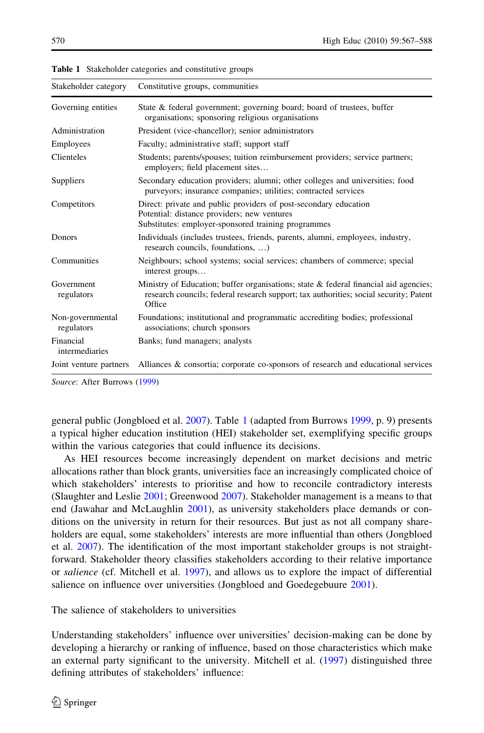| Stakeholder category           | Constitutive groups, communities                                                                                                                                                        |  |
|--------------------------------|-----------------------------------------------------------------------------------------------------------------------------------------------------------------------------------------|--|
| Governing entities             | State & federal government; governing board; board of trustees, buffer<br>organisations; sponsoring religious organisations                                                             |  |
| Administration                 | President (vice-chancellor); senior administrators                                                                                                                                      |  |
| Employees                      | Faculty; administrative staff; support staff                                                                                                                                            |  |
| Clienteles                     | Students; parents/spouses; tuition reimbursement providers; service partners;<br>employers; field placement sites                                                                       |  |
| Suppliers                      | Secondary education providers; alumni; other colleges and universities; food<br>purveyors; insurance companies; utilities; contracted services                                          |  |
| Competitors                    | Direct: private and public providers of post-secondary education<br>Potential: distance providers; new ventures<br>Substitutes: employer-sponsored training programmes                  |  |
| Donors                         | Individuals (includes trustees, friends, parents, alumni, employees, industry,<br>research councils, foundations, )                                                                     |  |
| Communities                    | Neighbours; school systems; social services; chambers of commerce; special<br>interest groups                                                                                           |  |
| Government<br>regulators       | Ministry of Education; buffer organisations; state & federal financial aid agencies;<br>research councils; federal research support; tax authorities; social security; Patent<br>Office |  |
| Non-governmental<br>regulators | Foundations; institutional and programmatic accrediting bodies; professional<br>associations; church sponsors                                                                           |  |
| Financial<br>intermediaries    | Banks; fund managers; analysts                                                                                                                                                          |  |
| Joint venture partners         | Alliances & consortia; corporate co-sponsors of research and educational services                                                                                                       |  |

Table 1 Stakeholder categories and constitutive groups

Source: After Burrows ([1999\)](#page-19-0)

general public (Jongbloed et al. [2007\)](#page-20-0). Table 1 (adapted from Burrows [1999](#page-19-0), p. 9) presents a typical higher education institution (HEI) stakeholder set, exemplifying specific groups within the various categories that could influence its decisions.

As HEI resources become increasingly dependent on market decisions and metric allocations rather than block grants, universities face an increasingly complicated choice of which stakeholders' interests to prioritise and how to reconcile contradictory interests (Slaughter and Leslie [2001](#page-21-0); Greenwood [2007\)](#page-20-0). Stakeholder management is a means to that end (Jawahar and McLaughlin [2001](#page-20-0)), as university stakeholders place demands or conditions on the university in return for their resources. But just as not all company shareholders are equal, some stakeholders' interests are more influential than others (Jongbloed et al. [2007\)](#page-20-0). The identification of the most important stakeholder groups is not straightforward. Stakeholder theory classifies stakeholders according to their relative importance or salience (cf. Mitchell et al. [1997](#page-21-0)), and allows us to explore the impact of differential salience on influence over universities (Jongbloed and Goedegebuure [2001](#page-20-0)).

The salience of stakeholders to universities

Understanding stakeholders' influence over universities' decision-making can be done by developing a hierarchy or ranking of influence, based on those characteristics which make an external party significant to the university. Mitchell et al. [\(1997](#page-21-0)) distinguished three defining attributes of stakeholders' influence: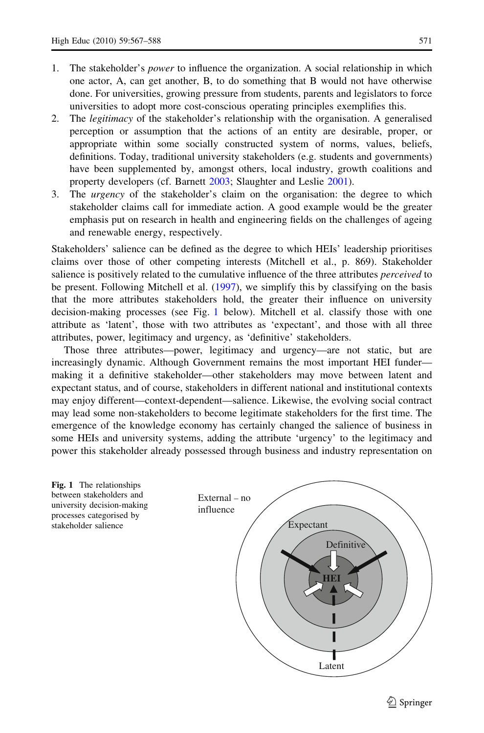- <span id="page-4-0"></span>1. The stakeholder's power to influence the organization. A social relationship in which one actor, A, can get another, B, to do something that B would not have otherwise done. For universities, growing pressure from students, parents and legislators to force universities to adopt more cost-conscious operating principles exemplifies this.
- 2. The legitimacy of the stakeholder's relationship with the organisation. A generalised perception or assumption that the actions of an entity are desirable, proper, or appropriate within some socially constructed system of norms, values, beliefs, definitions. Today, traditional university stakeholders (e.g. students and governments) have been supplemented by, amongst others, local industry, growth coalitions and property developers (cf. Barnett [2003;](#page-19-0) Slaughter and Leslie [2001](#page-21-0)).
- 3. The urgency of the stakeholder's claim on the organisation: the degree to which stakeholder claims call for immediate action. A good example would be the greater emphasis put on research in health and engineering fields on the challenges of ageing and renewable energy, respectively.

Stakeholders' salience can be defined as the degree to which HEIs' leadership prioritises claims over those of other competing interests (Mitchell et al., p. 869). Stakeholder salience is positively related to the cumulative influence of the three attributes *perceived* to be present. Following Mitchell et al. [\(1997](#page-21-0)), we simplify this by classifying on the basis that the more attributes stakeholders hold, the greater their influence on university decision-making processes (see Fig. 1 below). Mitchell et al. classify those with one attribute as 'latent', those with two attributes as 'expectant', and those with all three attributes, power, legitimacy and urgency, as 'definitive' stakeholders.

Those three attributes—power, legitimacy and urgency—are not static, but are increasingly dynamic. Although Government remains the most important HEI funder making it a definitive stakeholder—other stakeholders may move between latent and expectant status, and of course, stakeholders in different national and institutional contexts may enjoy different—context-dependent—salience. Likewise, the evolving social contract may lead some non-stakeholders to become legitimate stakeholders for the first time. The emergence of the knowledge economy has certainly changed the salience of business in some HEIs and university systems, adding the attribute 'urgency' to the legitimacy and power this stakeholder already possessed through business and industry representation on

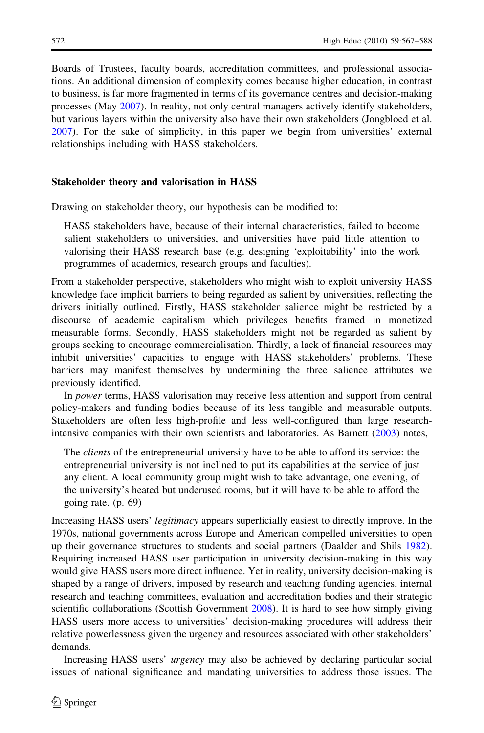Boards of Trustees, faculty boards, accreditation committees, and professional associations. An additional dimension of complexity comes because higher education, in contrast to business, is far more fragmented in terms of its governance centres and decision-making processes (May [2007\)](#page-20-0). In reality, not only central managers actively identify stakeholders, but various layers within the university also have their own stakeholders (Jongbloed et al. [2007\)](#page-20-0). For the sake of simplicity, in this paper we begin from universities' external relationships including with HASS stakeholders.

#### Stakeholder theory and valorisation in HASS

Drawing on stakeholder theory, our hypothesis can be modified to:

HASS stakeholders have, because of their internal characteristics, failed to become salient stakeholders to universities, and universities have paid little attention to valorising their HASS research base (e.g. designing 'exploitability' into the work programmes of academics, research groups and faculties).

From a stakeholder perspective, stakeholders who might wish to exploit university HASS knowledge face implicit barriers to being regarded as salient by universities, reflecting the drivers initially outlined. Firstly, HASS stakeholder salience might be restricted by a discourse of academic capitalism which privileges benefits framed in monetized measurable forms. Secondly, HASS stakeholders might not be regarded as salient by groups seeking to encourage commercialisation. Thirdly, a lack of financial resources may inhibit universities' capacities to engage with HASS stakeholders' problems. These barriers may manifest themselves by undermining the three salience attributes we previously identified.

In power terms, HASS valorisation may receive less attention and support from central policy-makers and funding bodies because of its less tangible and measurable outputs. Stakeholders are often less high-profile and less well-configured than large researchintensive companies with their own scientists and laboratories. As Barnett [\(2003\)](#page-19-0) notes,

The *clients* of the entrepreneurial university have to be able to afford its service: the entrepreneurial university is not inclined to put its capabilities at the service of just any client. A local community group might wish to take advantage, one evening, of the university's heated but underused rooms, but it will have to be able to afford the going rate. (p. 69)

Increasing HASS users' legitimacy appears superficially easiest to directly improve. In the 1970s, national governments across Europe and American compelled universities to open up their governance structures to students and social partners (Daalder and Shils [1982](#page-20-0)). Requiring increased HASS user participation in university decision-making in this way would give HASS users more direct influence. Yet in reality, university decision-making is shaped by a range of drivers, imposed by research and teaching funding agencies, internal research and teaching committees, evaluation and accreditation bodies and their strategic scientific collaborations (Scottish Government [2008](#page-21-0)). It is hard to see how simply giving HASS users more access to universities' decision-making procedures will address their relative powerlessness given the urgency and resources associated with other stakeholders' demands.

Increasing HASS users' *urgency* may also be achieved by declaring particular social issues of national significance and mandating universities to address those issues. The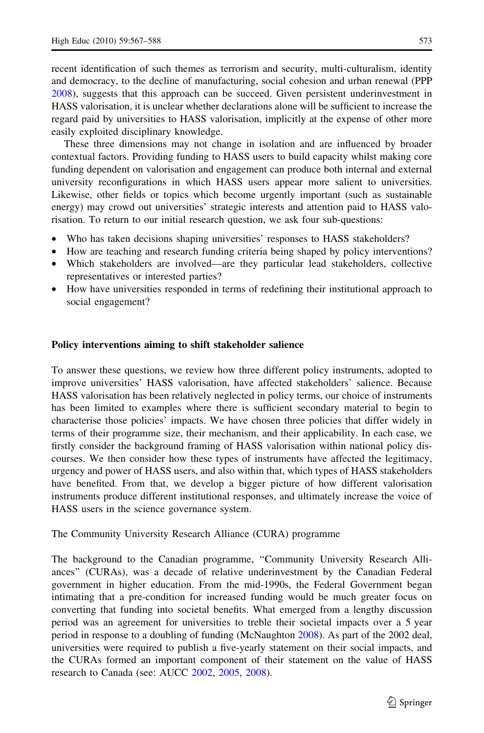recent identification of such themes as terrorism and security, multi-culturalism, identity and democracy, to the decline of manufacturing, social cohesion and urban renewal (PPP [2008\)](#page-21-0), suggests that this approach can be succeed. Given persistent underinvestment in HASS valorisation, it is unclear whether declarations alone will be sufficient to increase the regard paid by universities to HASS valorisation, implicitly at the expense of other more easily exploited disciplinary knowledge.

These three dimensions may not change in isolation and are influenced by broader contextual factors. Providing funding to HASS users to build capacity whilst making core funding dependent on valorisation and engagement can produce both internal and external university reconfigurations in which HASS users appear more salient to universities. Likewise, other fields or topics which become urgently important (such as sustainable energy) may crowd out universities' strategic interests and attention paid to HASS valorisation. To return to our initial research question, we ask four sub-questions:

- Who has taken decisions shaping universities' responses to HASS stakeholders?
- How are teaching and research funding criteria being shaped by policy interventions?
- Which stakeholders are involved—are they particular lead stakeholders, collective representatives or interested parties?
- How have universities responded in terms of redefining their institutional approach to social engagement?

#### Policy interventions aiming to shift stakeholder salience

To answer these questions, we review how three different policy instruments, adopted to improve universities' HASS valorisation, have affected stakeholders' salience. Because HASS valorisation has been relatively neglected in policy terms, our choice of instruments has been limited to examples where there is sufficient secondary material to begin to characterise those policies' impacts. We have chosen three policies that differ widely in terms of their programme size, their mechanism, and their applicability. In each case, we firstly consider the background framing of HASS valorisation within national policy discourses. We then consider how these types of instruments have affected the legitimacy, urgency and power of HASS users, and also within that, which types of HASS stakeholders have benefited. From that, we develop a bigger picture of how different valorisation instruments produce different institutional responses, and ultimately increase the voice of HASS users in the science governance system.

The Community University Research Alliance (CURA) programme

The background to the Canadian programme, ''Community University Research Alliances'' (CURAs), was a decade of relative underinvestment by the Canadian Federal government in higher education. From the mid-1990s, the Federal Government began intimating that a pre-condition for increased funding would be much greater focus on converting that funding into societal benefits. What emerged from a lengthy discussion period was an agreement for universities to treble their societal impacts over a 5 year period in response to a doubling of funding (McNaughton [2008\)](#page-20-0). As part of the 2002 deal, universities were required to publish a five-yearly statement on their social impacts, and the CURAs formed an important component of their statement on the value of HASS research to Canada (see: AUCC [2002](#page-19-0), [2005,](#page-19-0) [2008\)](#page-19-0).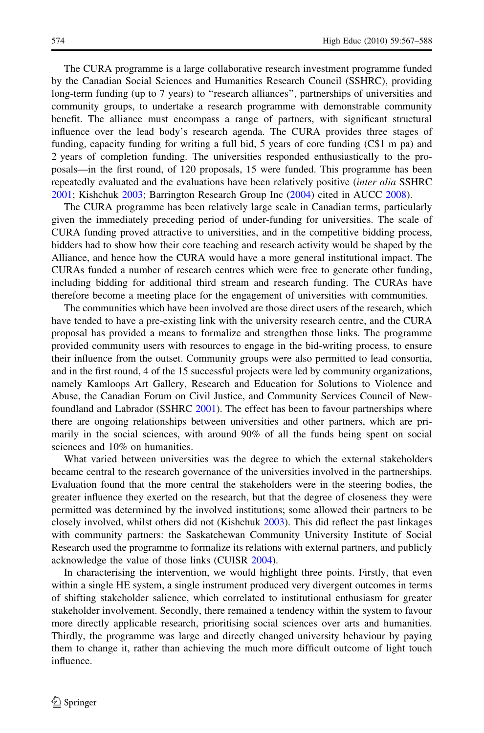The CURA programme is a large collaborative research investment programme funded by the Canadian Social Sciences and Humanities Research Council (SSHRC), providing long-term funding (up to 7 years) to "research alliances", partnerships of universities and community groups, to undertake a research programme with demonstrable community benefit. The alliance must encompass a range of partners, with significant structural influence over the lead body's research agenda. The CURA provides three stages of funding, capacity funding for writing a full bid, 5 years of core funding (C\$1 m pa) and 2 years of completion funding. The universities responded enthusiastically to the proposals—in the first round, of 120 proposals, 15 were funded. This programme has been repeatedly evaluated and the evaluations have been relatively positive *(inter alia SSHRC*) [2001;](#page-21-0) Kishchuk [2003;](#page-20-0) Barrington Research Group Inc ([2004\)](#page-19-0) cited in AUCC [2008](#page-19-0)).

The CURA programme has been relatively large scale in Canadian terms, particularly given the immediately preceding period of under-funding for universities. The scale of CURA funding proved attractive to universities, and in the competitive bidding process, bidders had to show how their core teaching and research activity would be shaped by the Alliance, and hence how the CURA would have a more general institutional impact. The CURAs funded a number of research centres which were free to generate other funding, including bidding for additional third stream and research funding. The CURAs have therefore become a meeting place for the engagement of universities with communities.

The communities which have been involved are those direct users of the research, which have tended to have a pre-existing link with the university research centre, and the CURA proposal has provided a means to formalize and strengthen those links. The programme provided community users with resources to engage in the bid-writing process, to ensure their influence from the outset. Community groups were also permitted to lead consortia, and in the first round, 4 of the 15 successful projects were led by community organizations, namely Kamloops Art Gallery, Research and Education for Solutions to Violence and Abuse, the Canadian Forum on Civil Justice, and Community Services Council of Newfoundland and Labrador (SSHRC [2001\)](#page-21-0). The effect has been to favour partnerships where there are ongoing relationships between universities and other partners, which are primarily in the social sciences, with around 90% of all the funds being spent on social sciences and 10% on humanities.

What varied between universities was the degree to which the external stakeholders became central to the research governance of the universities involved in the partnerships. Evaluation found that the more central the stakeholders were in the steering bodies, the greater influence they exerted on the research, but that the degree of closeness they were permitted was determined by the involved institutions; some allowed their partners to be closely involved, whilst others did not (Kishchuk [2003](#page-20-0)). This did reflect the past linkages with community partners: the Saskatchewan Community University Institute of Social Research used the programme to formalize its relations with external partners, and publicly acknowledge the value of those links (CUISR [2004](#page-20-0)).

In characterising the intervention, we would highlight three points. Firstly, that even within a single HE system, a single instrument produced very divergent outcomes in terms of shifting stakeholder salience, which correlated to institutional enthusiasm for greater stakeholder involvement. Secondly, there remained a tendency within the system to favour more directly applicable research, prioritising social sciences over arts and humanities. Thirdly, the programme was large and directly changed university behaviour by paying them to change it, rather than achieving the much more difficult outcome of light touch influence.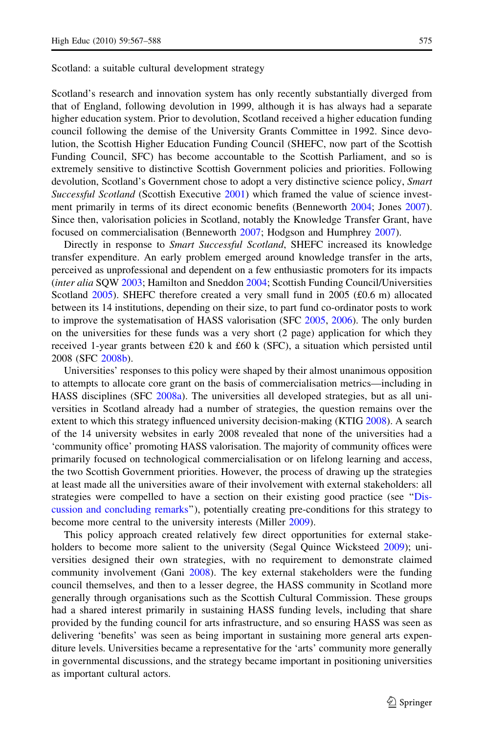#### Scotland: a suitable cultural development strategy

Scotland's research and innovation system has only recently substantially diverged from that of England, following devolution in 1999, although it is has always had a separate higher education system. Prior to devolution, Scotland received a higher education funding council following the demise of the University Grants Committee in 1992. Since devolution, the Scottish Higher Education Funding Council (SHEFC, now part of the Scottish Funding Council, SFC) has become accountable to the Scottish Parliament, and so is extremely sensitive to distinctive Scottish Government policies and priorities. Following devolution, Scotland's Government chose to adopt a very distinctive science policy, Smart Successful Scotland (Scottish Executive [2001\)](#page-21-0) which framed the value of science investment primarily in terms of its direct economic benefits (Benneworth [2004;](#page-19-0) Jones [2007](#page-20-0)). Since then, valorisation policies in Scotland, notably the Knowledge Transfer Grant, have focused on commercialisation (Benneworth [2007;](#page-19-0) Hodgson and Humphrey [2007](#page-20-0)).

Directly in response to Smart Successful Scotland, SHEFC increased its knowledge transfer expenditure. An early problem emerged around knowledge transfer in the arts, perceived as unprofessional and dependent on a few enthusiastic promoters for its impacts (inter alia SQW [2003](#page-21-0); Hamilton and Sneddon [2004;](#page-20-0) Scottish Funding Council/Universities Scotland [2005\)](#page-21-0). SHEFC therefore created a very small fund in 2005 ( $\pounds$ 0.6 m) allocated between its 14 institutions, depending on their size, to part fund co-ordinator posts to work to improve the systematisation of HASS valorisation (SFC [2005,](#page-21-0) [2006](#page-21-0)). The only burden on the universities for these funds was a very short (2 page) application for which they received 1-year grants between  $£20$  k and  $£60$  k (SFC), a situation which persisted until 2008 (SFC [2008b\)](#page-21-0).

Universities' responses to this policy were shaped by their almost unanimous opposition to attempts to allocate core grant on the basis of commercialisation metrics—including in HASS disciplines (SFC [2008a](#page-21-0)). The universities all developed strategies, but as all universities in Scotland already had a number of strategies, the question remains over the extent to which this strategy influenced university decision-making (KTIG [2008](#page-20-0)). A search of the 14 university websites in early 2008 revealed that none of the universities had a 'community office' promoting HASS valorisation. The majority of community offices were primarily focused on technological commercialisation or on lifelong learning and access, the two Scottish Government priorities. However, the process of drawing up the strategies at least made all the universities aware of their involvement with external stakeholders: all strategies were compelled to have a section on their existing good practice (see '['Dis](#page-15-0)[cussion and concluding remarks](#page-15-0)''), potentially creating pre-conditions for this strategy to become more central to the university interests (Miller [2009](#page-21-0)).

This policy approach created relatively few direct opportunities for external stake-holders to become more salient to the university (Segal Quince Wicksteed [2009\)](#page-21-0); universities designed their own strategies, with no requirement to demonstrate claimed community involvement (Gani [2008\)](#page-20-0). The key external stakeholders were the funding council themselves, and then to a lesser degree, the HASS community in Scotland more generally through organisations such as the Scottish Cultural Commission. These groups had a shared interest primarily in sustaining HASS funding levels, including that share provided by the funding council for arts infrastructure, and so ensuring HASS was seen as delivering 'benefits' was seen as being important in sustaining more general arts expenditure levels. Universities became a representative for the 'arts' community more generally in governmental discussions, and the strategy became important in positioning universities as important cultural actors.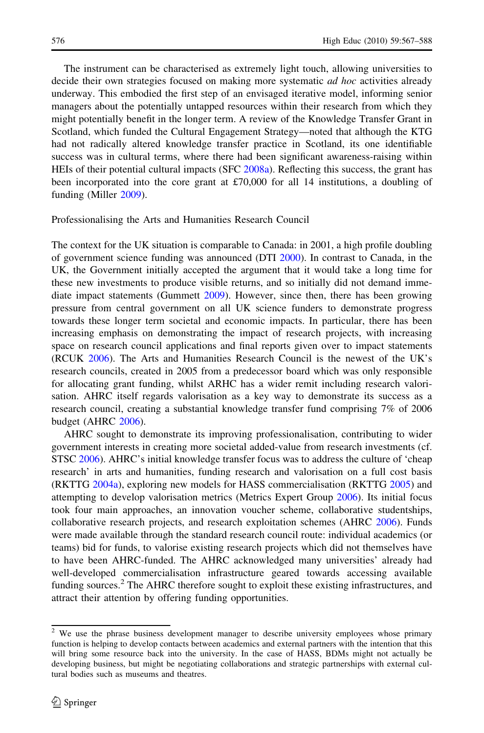The instrument can be characterised as extremely light touch, allowing universities to decide their own strategies focused on making more systematic *ad hoc* activities already underway. This embodied the first step of an envisaged iterative model, informing senior managers about the potentially untapped resources within their research from which they might potentially benefit in the longer term. A review of the Knowledge Transfer Grant in Scotland, which funded the Cultural Engagement Strategy—noted that although the KTG had not radically altered knowledge transfer practice in Scotland, its one identifiable success was in cultural terms, where there had been significant awareness-raising within HEIs of their potential cultural impacts (SFC [2008a](#page-21-0)). Reflecting this success, the grant has been incorporated into the core grant at £70,000 for all 14 institutions, a doubling of funding (Miller [2009](#page-21-0)).

### Professionalising the Arts and Humanities Research Council

The context for the UK situation is comparable to Canada: in 2001, a high profile doubling of government science funding was announced (DTI [2000](#page-20-0)). In contrast to Canada, in the UK, the Government initially accepted the argument that it would take a long time for these new investments to produce visible returns, and so initially did not demand immediate impact statements (Gummett [2009](#page-20-0)). However, since then, there has been growing pressure from central government on all UK science funders to demonstrate progress towards these longer term societal and economic impacts. In particular, there has been increasing emphasis on demonstrating the impact of research projects, with increasing space on research council applications and final reports given over to impact statements (RCUK [2006](#page-21-0)). The Arts and Humanities Research Council is the newest of the UK's research councils, created in 2005 from a predecessor board which was only responsible for allocating grant funding, whilst ARHC has a wider remit including research valorisation. AHRC itself regards valorisation as a key way to demonstrate its success as a research council, creating a substantial knowledge transfer fund comprising 7% of 2006 budget (AHRC [2006](#page-19-0)).

AHRC sought to demonstrate its improving professionalisation, contributing to wider government interests in creating more societal added-value from research investments (cf. STSC [2006\)](#page-21-0). AHRC's initial knowledge transfer focus was to address the culture of 'cheap research' in arts and humanities, funding research and valorisation on a full cost basis (RKTTG [2004a](#page-21-0)), exploring new models for HASS commercialisation (RKTTG [2005](#page-21-0)) and attempting to develop valorisation metrics (Metrics Expert Group [2006\)](#page-20-0). Its initial focus took four main approaches, an innovation voucher scheme, collaborative studentships, collaborative research projects, and research exploitation schemes (AHRC [2006](#page-19-0)). Funds were made available through the standard research council route: individual academics (or teams) bid for funds, to valorise existing research projects which did not themselves have to have been AHRC-funded. The AHRC acknowledged many universities' already had well-developed commercialisation infrastructure geared towards accessing available funding sources.<sup>2</sup> The AHRC therefore sought to exploit these existing infrastructures, and attract their attention by offering funding opportunities.

<sup>&</sup>lt;sup>2</sup> We use the phrase business development manager to describe university employees whose primary function is helping to develop contacts between academics and external partners with the intention that this will bring some resource back into the university. In the case of HASS, BDMs might not actually be developing business, but might be negotiating collaborations and strategic partnerships with external cultural bodies such as museums and theatres.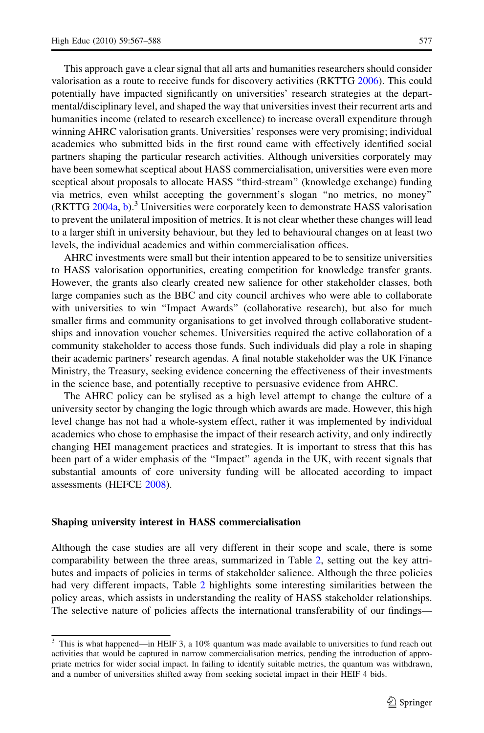This approach gave a clear signal that all arts and humanities researchers should consider valorisation as a route to receive funds for discovery activities (RKTTG [2006\)](#page-21-0). This could potentially have impacted significantly on universities' research strategies at the departmental/disciplinary level, and shaped the way that universities invest their recurrent arts and humanities income (related to research excellence) to increase overall expenditure through winning AHRC valorisation grants. Universities' responses were very promising; individual academics who submitted bids in the first round came with effectively identified social partners shaping the particular research activities. Although universities corporately may have been somewhat sceptical about HASS commercialisation, universities were even more sceptical about proposals to allocate HASS ''third-stream'' (knowledge exchange) funding via metrics, even whilst accepting the government's slogan ''no metrics, no money''  $(RKTTG 2004a, b)$  $(RKTTG 2004a, b)$  $(RKTTG 2004a, b)$  $(RKTTG 2004a, b)$  $(RKTTG 2004a, b)$ .<sup>3</sup> Universities were corporately keen to demonstrate HASS valorisation to prevent the unilateral imposition of metrics. It is not clear whether these changes will lead to a larger shift in university behaviour, but they led to behavioural changes on at least two levels, the individual academics and within commercialisation offices.

AHRC investments were small but their intention appeared to be to sensitize universities to HASS valorisation opportunities, creating competition for knowledge transfer grants. However, the grants also clearly created new salience for other stakeholder classes, both large companies such as the BBC and city council archives who were able to collaborate with universities to win ''Impact Awards'' (collaborative research), but also for much smaller firms and community organisations to get involved through collaborative studentships and innovation voucher schemes. Universities required the active collaboration of a community stakeholder to access those funds. Such individuals did play a role in shaping their academic partners' research agendas. A final notable stakeholder was the UK Finance Ministry, the Treasury, seeking evidence concerning the effectiveness of their investments in the science base, and potentially receptive to persuasive evidence from AHRC.

The AHRC policy can be stylised as a high level attempt to change the culture of a university sector by changing the logic through which awards are made. However, this high level change has not had a whole-system effect, rather it was implemented by individual academics who chose to emphasise the impact of their research activity, and only indirectly changing HEI management practices and strategies. It is important to stress that this has been part of a wider emphasis of the ''Impact'' agenda in the UK, with recent signals that substantial amounts of core university funding will be allocated according to impact assessments (HEFCE [2008\)](#page-20-0).

## Shaping university interest in HASS commercialisation

Although the case studies are all very different in their scope and scale, there is some comparability between the three areas, summarized in Table [2,](#page-11-0) setting out the key attributes and impacts of policies in terms of stakeholder salience. Although the three policies had very different impacts, Table [2](#page-11-0) highlights some interesting similarities between the policy areas, which assists in understanding the reality of HASS stakeholder relationships. The selective nature of policies affects the international transferability of our findings—

 $3$  This is what happened—in HEIF 3, a 10% quantum was made available to universities to fund reach out activities that would be captured in narrow commercialisation metrics, pending the introduction of appropriate metrics for wider social impact. In failing to identify suitable metrics, the quantum was withdrawn, and a number of universities shifted away from seeking societal impact in their HEIF 4 bids.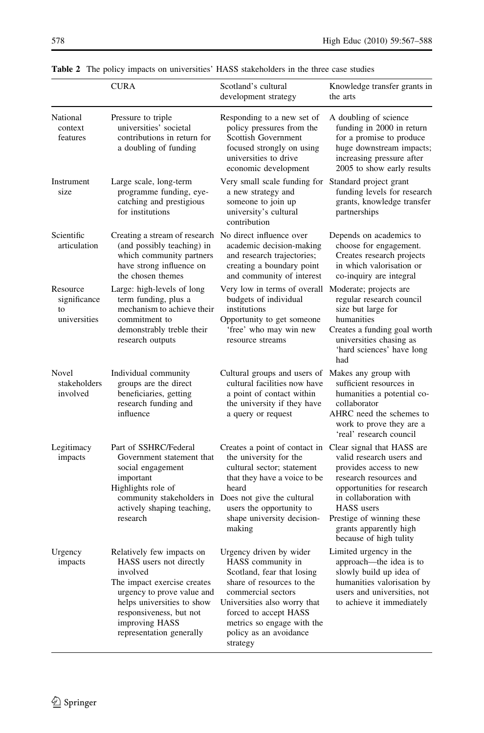|                                                | <b>CURA</b>                                                                                                                                                                                                                          | Scotland's cultural<br>development strategy                                                                                                                                                                                                                | Knowledge transfer grants in<br>the arts                                                                                                                                                                                                  |
|------------------------------------------------|--------------------------------------------------------------------------------------------------------------------------------------------------------------------------------------------------------------------------------------|------------------------------------------------------------------------------------------------------------------------------------------------------------------------------------------------------------------------------------------------------------|-------------------------------------------------------------------------------------------------------------------------------------------------------------------------------------------------------------------------------------------|
| National<br>context<br>features                | Pressure to triple<br>universities' societal<br>contributions in return for<br>a doubling of funding                                                                                                                                 | Responding to a new set of<br>policy pressures from the<br>Scottish Government<br>focused strongly on using<br>universities to drive<br>economic development                                                                                               | A doubling of science<br>funding in 2000 in return<br>for a promise to produce<br>huge downstream impacts;<br>increasing pressure after<br>2005 to show early results                                                                     |
| Instrument<br>size                             | Large scale, long-term<br>programme funding, eye-<br>catching and prestigious<br>for institutions                                                                                                                                    | Very small scale funding for<br>a new strategy and<br>someone to join up<br>university's cultural<br>contribution                                                                                                                                          | Standard project grant<br>funding levels for research<br>grants, knowledge transfer<br>partnerships                                                                                                                                       |
| Scientific<br>articulation                     | Creating a stream of research No direct influence over<br>(and possibly teaching) in<br>which community partners<br>have strong influence on<br>the chosen themes                                                                    | academic decision-making<br>and research trajectories;<br>creating a boundary point<br>and community of interest                                                                                                                                           | Depends on academics to<br>choose for engagement.<br>Creates research projects<br>in which valorisation or<br>co-inquiry are integral                                                                                                     |
| Resource<br>significance<br>to<br>universities | Large: high-levels of long<br>term funding, plus a<br>mechanism to achieve their<br>commitment to<br>demonstrably treble their<br>research outputs                                                                                   | Very low in terms of overall<br>budgets of individual<br>institutions<br>Opportunity to get someone<br>'free' who may win new<br>resource streams                                                                                                          | Moderate; projects are<br>regular research council<br>size but large for<br>humanities<br>Creates a funding goal worth<br>universities chasing as<br>'hard sciences' have long<br>had                                                     |
| Novel<br>stakeholders<br>involved              | Individual community<br>groups are the direct<br>beneficiaries, getting<br>research funding and<br>influence                                                                                                                         | Cultural groups and users of<br>cultural facilities now have<br>a point of contact within<br>the university if they have<br>a query or request                                                                                                             | Makes any group with<br>sufficient resources in<br>humanities a potential co-<br>collaborator<br>AHRC need the schemes to<br>work to prove they are a<br>'real' research council                                                          |
| Legitimacy<br>impacts                          | Part of SSHRC/Federal<br>Government statement that<br>social engagement<br>important<br>Highlights role of<br>community stakeholders in Does not give the cultural<br>actively shaping teaching,<br>research                         | Creates a point of contact in Clear signal that HASS are<br>the university for the<br>cultural sector; statement<br>that they have a voice to be<br>heard<br>users the opportunity to<br>shape university decision-<br>making                              | valid research users and<br>provides access to new<br>research resources and<br>opportunities for research<br>in collaboration with<br><b>HASS</b> users<br>Prestige of winning these<br>grants apparently high<br>because of high tulity |
| Urgency<br>impacts                             | Relatively few impacts on<br>HASS users not directly<br>involved<br>The impact exercise creates<br>urgency to prove value and<br>helps universities to show<br>responsiveness, but not<br>improving HASS<br>representation generally | Urgency driven by wider<br>HASS community in<br>Scotland, fear that losing<br>share of resources to the<br>commercial sectors<br>Universities also worry that<br>forced to accept HASS<br>metrics so engage with the<br>policy as an avoidance<br>strategy | Limited urgency in the<br>approach—the idea is to<br>slowly build up idea of<br>humanities valorisation by<br>users and universities, not<br>to achieve it immediately                                                                    |

<span id="page-11-0"></span>

|  | Table 2 The policy impacts on universities' HASS stakeholders in the three case studies |
|--|-----------------------------------------------------------------------------------------|
|--|-----------------------------------------------------------------------------------------|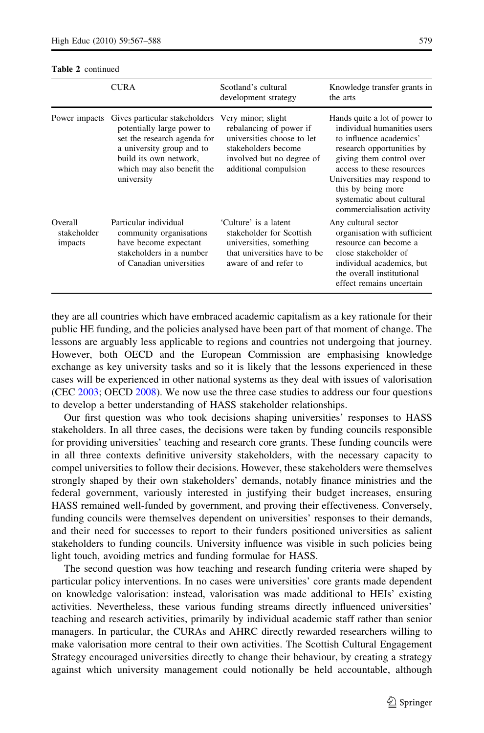#### Table 2 continued

|                                   | <b>CURA</b>                                                                                                                                                                                   | Scotland's cultural<br>development strategy                                                                                                              | Knowledge transfer grants in<br>the arts                                                                                                                                                                                                                                                      |
|-----------------------------------|-----------------------------------------------------------------------------------------------------------------------------------------------------------------------------------------------|----------------------------------------------------------------------------------------------------------------------------------------------------------|-----------------------------------------------------------------------------------------------------------------------------------------------------------------------------------------------------------------------------------------------------------------------------------------------|
| Power impacts                     | Gives particular stakeholders<br>potentially large power to<br>set the research agenda for<br>a university group and to<br>build its own network.<br>which may also benefit the<br>university | Very minor; slight<br>rebalancing of power if<br>universities choose to let<br>stakeholders become<br>involved but no degree of<br>additional compulsion | Hands quite a lot of power to<br>individual humanities users<br>to influence academics'<br>research opportunities by<br>giving them control over<br>access to these resources<br>Universities may respond to<br>this by being more<br>systematic about cultural<br>commercialisation activity |
| Overall<br>stakeholder<br>impacts | Particular individual<br>community organisations<br>have become expectant<br>stakeholders in a number<br>of Canadian universities                                                             | 'Culture' is a latent<br>stakeholder for Scottish<br>universities, something<br>that universities have to be<br>aware of and refer to                    | Any cultural sector<br>organisation with sufficient<br>resource can become a<br>close stakeholder of<br>individual academics, but<br>the overall institutional<br>effect remains uncertain                                                                                                    |

they are all countries which have embraced academic capitalism as a key rationale for their public HE funding, and the policies analysed have been part of that moment of change. The lessons are arguably less applicable to regions and countries not undergoing that journey. However, both OECD and the European Commission are emphasising knowledge exchange as key university tasks and so it is likely that the lessons experienced in these cases will be experienced in other national systems as they deal with issues of valorisation (CEC [2003;](#page-20-0) OECD [2008](#page-21-0)). We now use the three case studies to address our four questions to develop a better understanding of HASS stakeholder relationships.

Our first question was who took decisions shaping universities' responses to HASS stakeholders. In all three cases, the decisions were taken by funding councils responsible for providing universities' teaching and research core grants. These funding councils were in all three contexts definitive university stakeholders, with the necessary capacity to compel universities to follow their decisions. However, these stakeholders were themselves strongly shaped by their own stakeholders' demands, notably finance ministries and the federal government, variously interested in justifying their budget increases, ensuring HASS remained well-funded by government, and proving their effectiveness. Conversely, funding councils were themselves dependent on universities' responses to their demands, and their need for successes to report to their funders positioned universities as salient stakeholders to funding councils. University influence was visible in such policies being light touch, avoiding metrics and funding formulae for HASS.

The second question was how teaching and research funding criteria were shaped by particular policy interventions. In no cases were universities' core grants made dependent on knowledge valorisation: instead, valorisation was made additional to HEIs' existing activities. Nevertheless, these various funding streams directly influenced universities' teaching and research activities, primarily by individual academic staff rather than senior managers. In particular, the CURAs and AHRC directly rewarded researchers willing to make valorisation more central to their own activities. The Scottish Cultural Engagement Strategy encouraged universities directly to change their behaviour, by creating a strategy against which university management could notionally be held accountable, although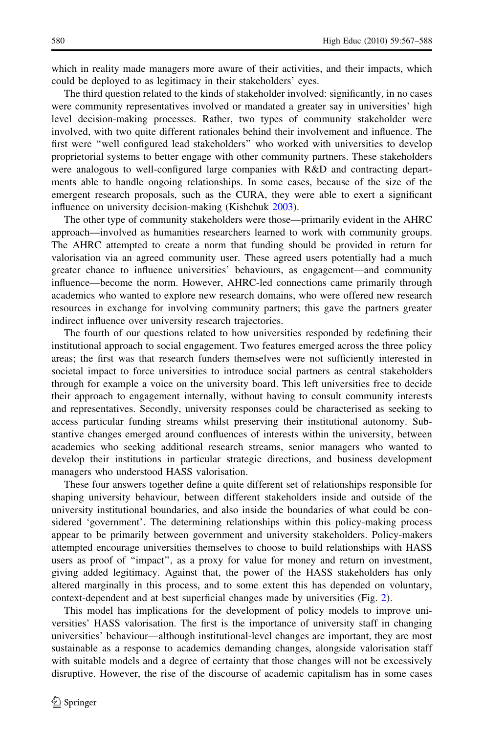which in reality made managers more aware of their activities, and their impacts, which could be deployed to as legitimacy in their stakeholders' eyes.

The third question related to the kinds of stakeholder involved: significantly, in no cases were community representatives involved or mandated a greater say in universities' high level decision-making processes. Rather, two types of community stakeholder were involved, with two quite different rationales behind their involvement and influence. The first were ''well configured lead stakeholders'' who worked with universities to develop proprietorial systems to better engage with other community partners. These stakeholders were analogous to well-configured large companies with R&D and contracting departments able to handle ongoing relationships. In some cases, because of the size of the emergent research proposals, such as the CURA, they were able to exert a significant influence on university decision-making (Kishchuk [2003](#page-20-0)).

The other type of community stakeholders were those—primarily evident in the AHRC approach—involved as humanities researchers learned to work with community groups. The AHRC attempted to create a norm that funding should be provided in return for valorisation via an agreed community user. These agreed users potentially had a much greater chance to influence universities' behaviours, as engagement—and community influence—become the norm. However, AHRC-led connections came primarily through academics who wanted to explore new research domains, who were offered new research resources in exchange for involving community partners; this gave the partners greater indirect influence over university research trajectories.

The fourth of our questions related to how universities responded by redefining their institutional approach to social engagement. Two features emerged across the three policy areas; the first was that research funders themselves were not sufficiently interested in societal impact to force universities to introduce social partners as central stakeholders through for example a voice on the university board. This left universities free to decide their approach to engagement internally, without having to consult community interests and representatives. Secondly, university responses could be characterised as seeking to access particular funding streams whilst preserving their institutional autonomy. Substantive changes emerged around confluences of interests within the university, between academics who seeking additional research streams, senior managers who wanted to develop their institutions in particular strategic directions, and business development managers who understood HASS valorisation.

These four answers together define a quite different set of relationships responsible for shaping university behaviour, between different stakeholders inside and outside of the university institutional boundaries, and also inside the boundaries of what could be considered 'government'. The determining relationships within this policy-making process appear to be primarily between government and university stakeholders. Policy-makers attempted encourage universities themselves to choose to build relationships with HASS users as proof of ''impact'', as a proxy for value for money and return on investment, giving added legitimacy. Against that, the power of the HASS stakeholders has only altered marginally in this process, and to some extent this has depended on voluntary, context-dependent and at best superficial changes made by universities (Fig. [2](#page-14-0)).

This model has implications for the development of policy models to improve universities' HASS valorisation. The first is the importance of university staff in changing universities' behaviour—although institutional-level changes are important, they are most sustainable as a response to academics demanding changes, alongside valorisation staff with suitable models and a degree of certainty that those changes will not be excessively disruptive. However, the rise of the discourse of academic capitalism has in some cases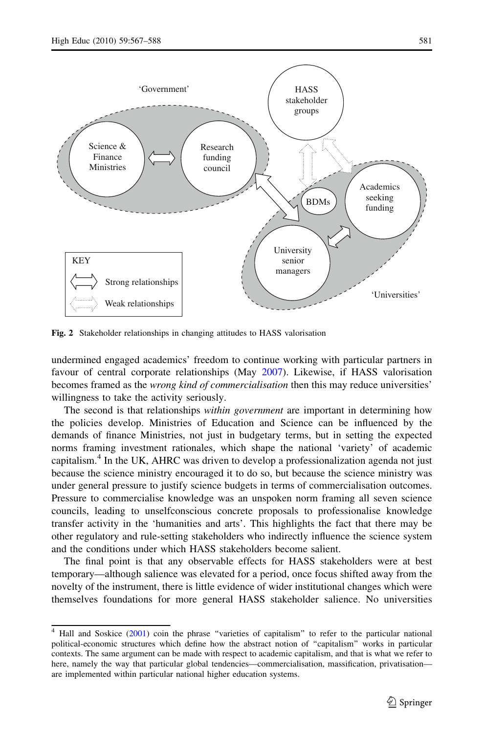<span id="page-14-0"></span>

Fig. 2 Stakeholder relationships in changing attitudes to HASS valorisation

undermined engaged academics' freedom to continue working with particular partners in favour of central corporate relationships (May [2007\)](#page-20-0). Likewise, if HASS valorisation becomes framed as the *wrong kind of commercialisation* then this may reduce universities' willingness to take the activity seriously.

The second is that relationships *within government* are important in determining how the policies develop. Ministries of Education and Science can be influenced by the demands of finance Ministries, not just in budgetary terms, but in setting the expected norms framing investment rationales, which shape the national 'variety' of academic capitalism. $4$  In the UK, AHRC was driven to develop a professionalization agenda not just because the science ministry encouraged it to do so, but because the science ministry was under general pressure to justify science budgets in terms of commercialisation outcomes. Pressure to commercialise knowledge was an unspoken norm framing all seven science councils, leading to unselfconscious concrete proposals to professionalise knowledge transfer activity in the 'humanities and arts'. This highlights the fact that there may be other regulatory and rule-setting stakeholders who indirectly influence the science system and the conditions under which HASS stakeholders become salient.

The final point is that any observable effects for HASS stakeholders were at best temporary—although salience was elevated for a period, once focus shifted away from the novelty of the instrument, there is little evidence of wider institutional changes which were themselves foundations for more general HASS stakeholder salience. No universities

<sup>&</sup>lt;sup>4</sup> Hall and Soskice [\(2001](#page-20-0)) coin the phrase "varieties of capitalism" to refer to the particular national political-economic structures which define how the abstract notion of ''capitalism'' works in particular contexts. The same argument can be made with respect to academic capitalism, and that is what we refer to here, namely the way that particular global tendencies—commercialisation, massification, privatisation are implemented within particular national higher education systems.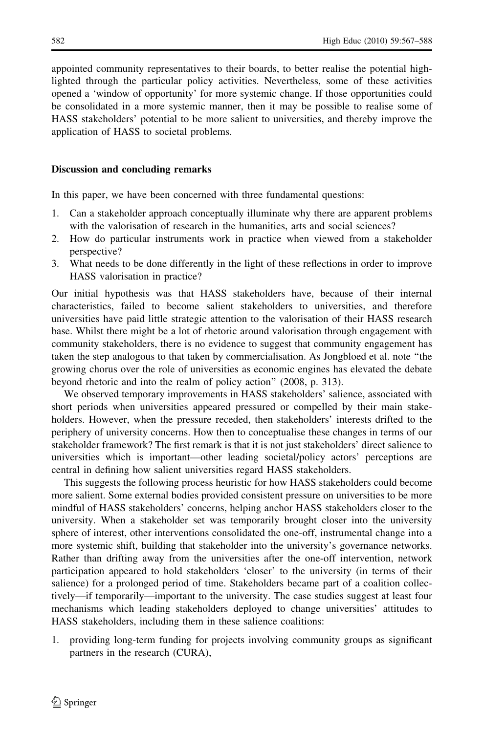<span id="page-15-0"></span>appointed community representatives to their boards, to better realise the potential highlighted through the particular policy activities. Nevertheless, some of these activities opened a 'window of opportunity' for more systemic change. If those opportunities could be consolidated in a more systemic manner, then it may be possible to realise some of HASS stakeholders' potential to be more salient to universities, and thereby improve the application of HASS to societal problems.

#### Discussion and concluding remarks

In this paper, we have been concerned with three fundamental questions:

- 1. Can a stakeholder approach conceptually illuminate why there are apparent problems with the valorisation of research in the humanities, arts and social sciences?
- 2. How do particular instruments work in practice when viewed from a stakeholder perspective?
- 3. What needs to be done differently in the light of these reflections in order to improve HASS valorisation in practice?

Our initial hypothesis was that HASS stakeholders have, because of their internal characteristics, failed to become salient stakeholders to universities, and therefore universities have paid little strategic attention to the valorisation of their HASS research base. Whilst there might be a lot of rhetoric around valorisation through engagement with community stakeholders, there is no evidence to suggest that community engagement has taken the step analogous to that taken by commercialisation. As Jongbloed et al. note ''the growing chorus over the role of universities as economic engines has elevated the debate beyond rhetoric and into the realm of policy action'' (2008, p. 313).

We observed temporary improvements in HASS stakeholders' salience, associated with short periods when universities appeared pressured or compelled by their main stakeholders. However, when the pressure receded, then stakeholders' interests drifted to the periphery of university concerns. How then to conceptualise these changes in terms of our stakeholder framework? The first remark is that it is not just stakeholders' direct salience to universities which is important—other leading societal/policy actors' perceptions are central in defining how salient universities regard HASS stakeholders.

This suggests the following process heuristic for how HASS stakeholders could become more salient. Some external bodies provided consistent pressure on universities to be more mindful of HASS stakeholders' concerns, helping anchor HASS stakeholders closer to the university. When a stakeholder set was temporarily brought closer into the university sphere of interest, other interventions consolidated the one-off, instrumental change into a more systemic shift, building that stakeholder into the university's governance networks. Rather than drifting away from the universities after the one-off intervention, network participation appeared to hold stakeholders 'closer' to the university (in terms of their salience) for a prolonged period of time. Stakeholders became part of a coalition collectively—if temporarily—important to the university. The case studies suggest at least four mechanisms which leading stakeholders deployed to change universities' attitudes to HASS stakeholders, including them in these salience coalitions:

1. providing long-term funding for projects involving community groups as significant partners in the research (CURA),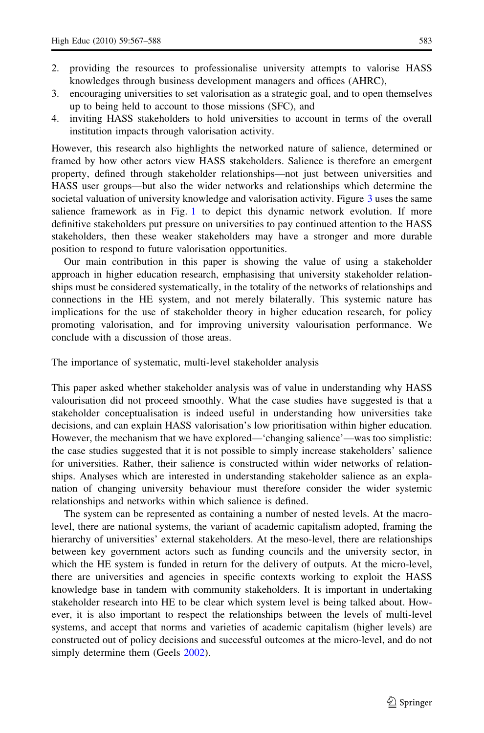- 2. providing the resources to professionalise university attempts to valorise HASS knowledges through business development managers and offices (AHRC),
- 3. encouraging universities to set valorisation as a strategic goal, and to open themselves up to being held to account to those missions (SFC), and
- 4. inviting HASS stakeholders to hold universities to account in terms of the overall institution impacts through valorisation activity.

However, this research also highlights the networked nature of salience, determined or framed by how other actors view HASS stakeholders. Salience is therefore an emergent property, defined through stakeholder relationships—not just between universities and HASS user groups—but also the wider networks and relationships which determine the societal valuation of university knowledge and valorisation activity. Figure [3](#page-17-0) uses the same salience framework as in Fig. [1](#page-4-0) to depict this dynamic network evolution. If more definitive stakeholders put pressure on universities to pay continued attention to the HASS stakeholders, then these weaker stakeholders may have a stronger and more durable position to respond to future valorisation opportunities.

Our main contribution in this paper is showing the value of using a stakeholder approach in higher education research, emphasising that university stakeholder relationships must be considered systematically, in the totality of the networks of relationships and connections in the HE system, and not merely bilaterally. This systemic nature has implications for the use of stakeholder theory in higher education research, for policy promoting valorisation, and for improving university valourisation performance. We conclude with a discussion of those areas.

The importance of systematic, multi-level stakeholder analysis

This paper asked whether stakeholder analysis was of value in understanding why HASS valourisation did not proceed smoothly. What the case studies have suggested is that a stakeholder conceptualisation is indeed useful in understanding how universities take decisions, and can explain HASS valorisation's low prioritisation within higher education. However, the mechanism that we have explored—'changing salience'—was too simplistic: the case studies suggested that it is not possible to simply increase stakeholders' salience for universities. Rather, their salience is constructed within wider networks of relationships. Analyses which are interested in understanding stakeholder salience as an explanation of changing university behaviour must therefore consider the wider systemic relationships and networks within which salience is defined.

The system can be represented as containing a number of nested levels. At the macrolevel, there are national systems, the variant of academic capitalism adopted, framing the hierarchy of universities' external stakeholders. At the meso-level, there are relationships between key government actors such as funding councils and the university sector, in which the HE system is funded in return for the delivery of outputs. At the micro-level, there are universities and agencies in specific contexts working to exploit the HASS knowledge base in tandem with community stakeholders. It is important in undertaking stakeholder research into HE to be clear which system level is being talked about. However, it is also important to respect the relationships between the levels of multi-level systems, and accept that norms and varieties of academic capitalism (higher levels) are constructed out of policy decisions and successful outcomes at the micro-level, and do not simply determine them (Geels [2002\)](#page-20-0).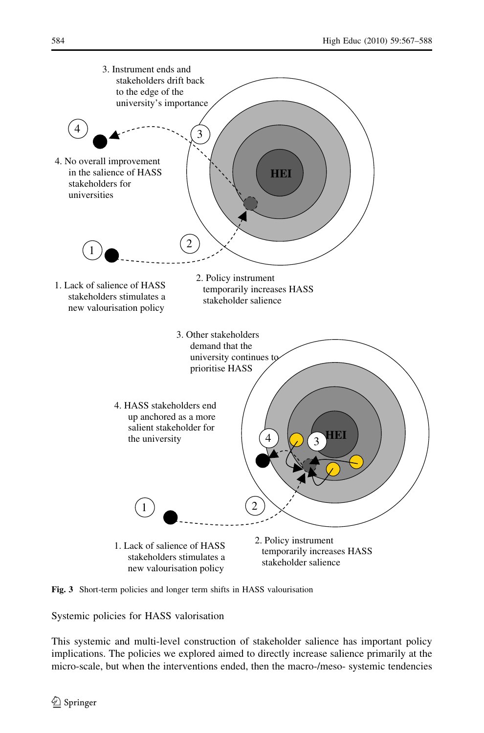<span id="page-17-0"></span>

Fig. 3 Short-term policies and longer term shifts in HASS valourisation

Systemic policies for HASS valorisation

This systemic and multi-level construction of stakeholder salience has important policy implications. The policies we explored aimed to directly increase salience primarily at the micro-scale, but when the interventions ended, then the macro-/meso- systemic tendencies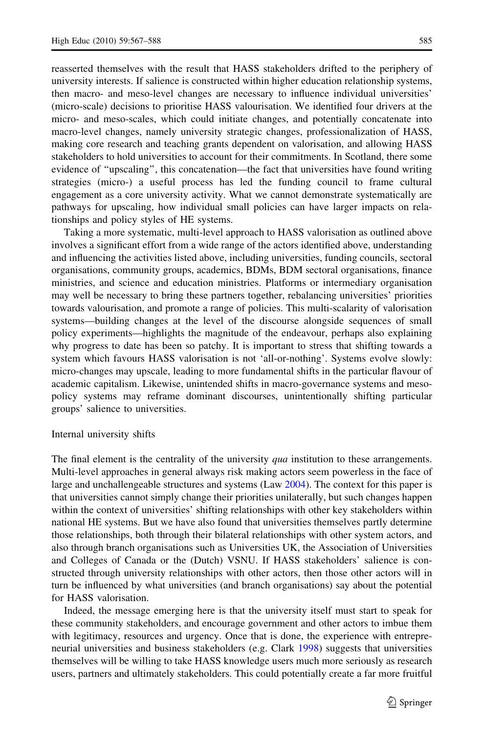reasserted themselves with the result that HASS stakeholders drifted to the periphery of university interests. If salience is constructed within higher education relationship systems, then macro- and meso-level changes are necessary to influence individual universities' (micro-scale) decisions to prioritise HASS valourisation. We identified four drivers at the micro- and meso-scales, which could initiate changes, and potentially concatenate into macro-level changes, namely university strategic changes, professionalization of HASS, making core research and teaching grants dependent on valorisation, and allowing HASS stakeholders to hold universities to account for their commitments. In Scotland, there some evidence of ''upscaling'', this concatenation—the fact that universities have found writing strategies (micro-) a useful process has led the funding council to frame cultural engagement as a core university activity. What we cannot demonstrate systematically are pathways for upscaling, how individual small policies can have larger impacts on relationships and policy styles of HE systems.

Taking a more systematic, multi-level approach to HASS valorisation as outlined above involves a significant effort from a wide range of the actors identified above, understanding and influencing the activities listed above, including universities, funding councils, sectoral organisations, community groups, academics, BDMs, BDM sectoral organisations, finance ministries, and science and education ministries. Platforms or intermediary organisation may well be necessary to bring these partners together, rebalancing universities' priorities towards valourisation, and promote a range of policies. This multi-scalarity of valorisation systems—building changes at the level of the discourse alongside sequences of small policy experiments—highlights the magnitude of the endeavour, perhaps also explaining why progress to date has been so patchy. It is important to stress that shifting towards a system which favours HASS valorisation is not 'all-or-nothing'. Systems evolve slowly: micro-changes may upscale, leading to more fundamental shifts in the particular flavour of academic capitalism. Likewise, unintended shifts in macro-governance systems and mesopolicy systems may reframe dominant discourses, unintentionally shifting particular groups' salience to universities.

#### Internal university shifts

The final element is the centrality of the university *qua* institution to these arrangements. Multi-level approaches in general always risk making actors seem powerless in the face of large and unchallengeable structures and systems (Law [2004\)](#page-20-0). The context for this paper is that universities cannot simply change their priorities unilaterally, but such changes happen within the context of universities' shifting relationships with other key stakeholders within national HE systems. But we have also found that universities themselves partly determine those relationships, both through their bilateral relationships with other system actors, and also through branch organisations such as Universities UK, the Association of Universities and Colleges of Canada or the (Dutch) VSNU. If HASS stakeholders' salience is constructed through university relationships with other actors, then those other actors will in turn be influenced by what universities (and branch organisations) say about the potential for HASS valorisation.

Indeed, the message emerging here is that the university itself must start to speak for these community stakeholders, and encourage government and other actors to imbue them with legitimacy, resources and urgency. Once that is done, the experience with entrepreneurial universities and business stakeholders (e.g. Clark [1998\)](#page-19-0) suggests that universities themselves will be willing to take HASS knowledge users much more seriously as research users, partners and ultimately stakeholders. This could potentially create a far more fruitful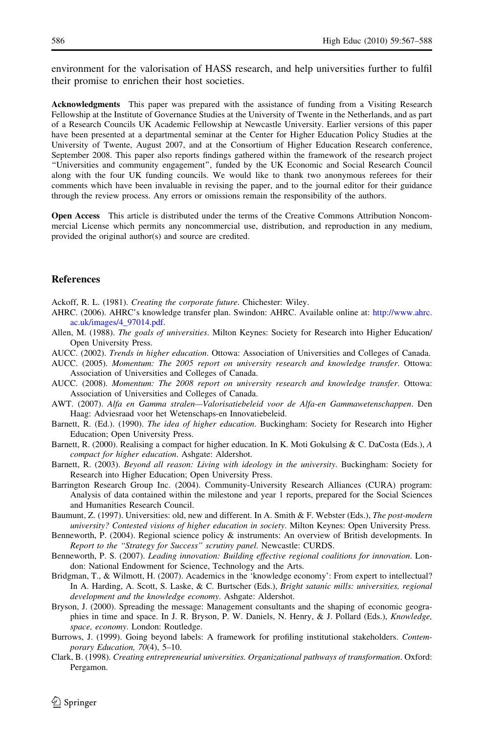<span id="page-19-0"></span>environment for the valorisation of HASS research, and help universities further to fulfil their promise to enrichen their host societies.

Acknowledgments This paper was prepared with the assistance of funding from a Visiting Research Fellowship at the Institute of Governance Studies at the University of Twente in the Netherlands, and as part of a Research Councils UK Academic Fellowship at Newcastle University. Earlier versions of this paper have been presented at a departmental seminar at the Center for Higher Education Policy Studies at the University of Twente, August 2007, and at the Consortium of Higher Education Research conference, September 2008. This paper also reports findings gathered within the framework of the research project ''Universities and community engagement'', funded by the UK Economic and Social Research Council along with the four UK funding councils. We would like to thank two anonymous referees for their comments which have been invaluable in revising the paper, and to the journal editor for their guidance through the review process. Any errors or omissions remain the responsibility of the authors.

Open Access This article is distributed under the terms of the Creative Commons Attribution Noncommercial License which permits any noncommercial use, distribution, and reproduction in any medium, provided the original author(s) and source are credited.

### References

Ackoff, R. L. (1981). *Creating the corporate future*. Chichester: Wiley.

- AHRC. (2006). AHRC's knowledge transfer plan. Swindon: AHRC. Available online at: [http://www.ahrc.](http://www.ahrc.ac.uk/images/4_97014.pdf) [ac.uk/images/4\\_97014.pdf](http://www.ahrc.ac.uk/images/4_97014.pdf).
- Allen, M. (1988). The goals of universities. Milton Keynes: Society for Research into Higher Education/ Open University Press.
- AUCC. (2002). Trends in higher education. Ottowa: Association of Universities and Colleges of Canada.
- AUCC. (2005). Momentum: The 2005 report on university research and knowledge transfer. Ottowa: Association of Universities and Colleges of Canada.
- AUCC. (2008). Momentum: The 2008 report on university research and knowledge transfer. Ottowa: Association of Universities and Colleges of Canada.
- AWT. (2007). Alfa en Gamma stralen—Valorisatiebeleid voor de Alfa-en Gammawetenschappen. Den Haag: Adviesraad voor het Wetenschaps-en Innovatiebeleid.
- Barnett, R. (Ed.). (1990). The idea of higher education. Buckingham: Society for Research into Higher Education; Open University Press.
- Barnett, R. (2000). Realising a compact for higher education. In K. Moti Gokulsing & C. DaCosta (Eds.), A compact for higher education. Ashgate: Aldershot.
- Barnett, R. (2003). Beyond all reason: Living with ideology in the university. Buckingham: Society for Research into Higher Education; Open University Press.
- Barrington Research Group Inc. (2004). Community-University Research Alliances (CURA) program: Analysis of data contained within the milestone and year 1 reports, prepared for the Social Sciences and Humanities Research Council.
- Baumunt, Z. (1997). Universities: old, new and different. In A. Smith & F. Webster (Eds.), The post-modern university? Contested visions of higher education in society. Milton Keynes: Open University Press.
- Benneworth, P. (2004). Regional science policy & instruments: An overview of British developments. In Report to the ''Strategy for Success'' scrutiny panel. Newcastle: CURDS.
- Benneworth, P. S. (2007). Leading innovation: Building effective regional coalitions for innovation. London: National Endowment for Science, Technology and the Arts.
- Bridgman, T., & Wilmott, H. (2007). Academics in the 'knowledge economy': From expert to intellectual? In A. Harding, A. Scott, S. Laske, & C. Burtscher (Eds.), Bright satanic mills: universities, regional development and the knowledge economy. Ashgate: Aldershot.
- Bryson, J. (2000). Spreading the message: Management consultants and the shaping of economic geographies in time and space. In J. R. Bryson, P. W. Daniels, N. Henry, & J. Pollard (Eds.), Knowledge, space, economy. London: Routledge.
- Burrows, J. (1999). Going beyond labels: A framework for profiling institutional stakeholders. Contemporary Education, 70(4), 5–10.
- Clark, B. (1998). Creating entrepreneurial universities. Organizational pathways of transformation. Oxford: Pergamon.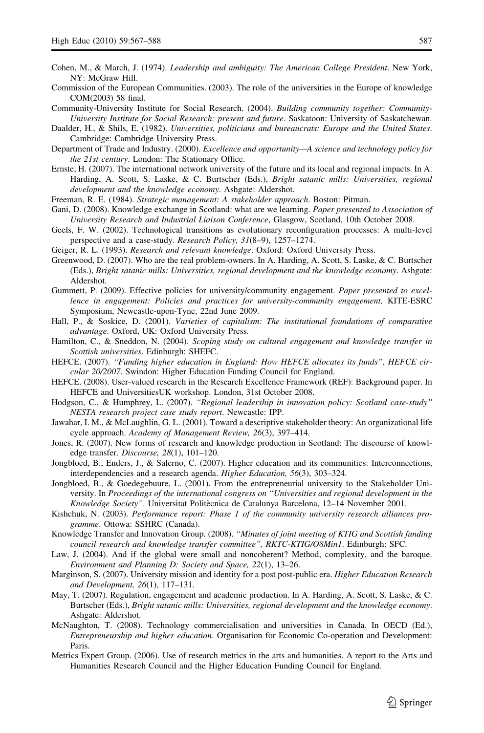- <span id="page-20-0"></span>Cohen, M., & March, J. (1974). Leadership and ambiguity: The American College President. New York, NY: McGraw Hill.
- Commission of the European Communities. (2003). The role of the universities in the Europe of knowledge COM(2003) 58 final.
- Community-University Institute for Social Research. (2004). Building community together: Community-University Institute for Social Research: present and future. Saskatoon: University of Saskatchewan.
- Daalder, H., & Shils, E. (1982). Universities, politicians and bureaucrats: Europe and the United States. Cambridge: Cambridge University Press.
- Department of Trade and Industry. (2000). Excellence and opportunity—A science and technology policy for the 21st century. London: The Stationary Office.
- Ernste, H. (2007). The international network university of the future and its local and regional impacts. In A. Harding, A. Scott, S. Laske, & C. Burtscher (Eds.), Bright satanic mills: Universities, regional development and the knowledge economy. Ashgate: Aldershot.
- Freeman, R. E. (1984). Strategic management: A stakeholder approach. Boston: Pitman.
- Gani, D. (2008). Knowledge exchange in Scotland: what are we learning. Paper presented to Association of University Research and Industrial Liaison Conference, Glasgow, Scotland, 10th October 2008.
- Geels, F. W. (2002). Technological transitions as evolutionary reconfiguration processes: A multi-level perspective and a case-study. Research Policy, 31(8–9), 1257–1274.
- Geiger, R. L. (1993). Research and relevant knowledge. Oxford: Oxford University Press.
- Greenwood, D. (2007). Who are the real problem-owners. In A. Harding, A. Scott, S. Laske, & C. Burtscher (Eds.), Bright satanic mills: Universities, regional development and the knowledge economy. Ashgate: Aldershot.
- Gummett, P. (2009). Effective policies for university/community engagement. Paper presented to excellence in engagement: Policies and practices for university-community engagement, KITE-ESRC Symposium, Newcastle-upon-Tyne, 22nd June 2009.
- Hall, P., & Soskice, D. (2001). Varieties of capitalism: The institutional foundations of comparative advantage. Oxford, UK: Oxford University Press.
- Hamilton, C., & Sneddon, N. (2004). Scoping study on cultural engagement and knowledge transfer in Scottish universities. Edinburgh: SHEFC.
- HEFCE. (2007). ''Funding higher education in England: How HEFCE allocates its funds'', HEFCE circular 20/2007. Swindon: Higher Education Funding Council for England.
- HEFCE. (2008). User-valued research in the Research Excellence Framework (REF): Background paper. In HEFCE and UniversitiesUK workshop. London, 31st October 2008.
- Hodgson, C., & Humphrey, L. (2007). ''Regional leadership in innovation policy: Scotland case-study'' NESTA research project case study report. Newcastle: IPP.
- Jawahar, I. M., & McLaughlin, G. L. (2001). Toward a descriptive stakeholder theory: An organizational life cycle approach. Academy of Management Review, 26(3), 397–414.
- Jones, R. (2007). New forms of research and knowledge production in Scotland: The discourse of knowledge transfer. Discourse, 28(1), 101–120.
- Jongbloed, B., Enders, J., & Salerno, C. (2007). Higher education and its communities: Interconnections, interdependencies and a research agenda. Higher Education, 56(3), 303–324.
- Jongbloed, B., & Goedegebuure, L. (2001). From the entrepreneurial university to the Stakeholder University. In Proceedings of the international congress on ''Universities and regional development in the Knowledge Society". Universitat Politècnica de Catalunya Barcelona, 12–14 November 2001.
- Kishchuk, N. (2003). Performance report: Phase 1 of the community university research alliances programme. Ottowa: SSHRC (Canada).
- Knowledge Transfer and Innovation Group. (2008). ''Minutes of joint meeting of KTIG and Scottish funding council research and knowledge transfer committee'', RKTC-KTIG/O8Min1. Edinburgh: SFC.
- Law, J. (2004). And if the global were small and noncoherent? Method, complexity, and the baroque. Environment and Planning D: Society and Space, 22(1), 13–26.
- Marginson, S. (2007). University mission and identity for a post post-public era. Higher Education Research and Development, 26(1), 117–131.
- May, T. (2007). Regulation, engagement and academic production. In A. Harding, A. Scott, S. Laske, & C. Burtscher (Eds.), Bright satanic mills: Universities, regional development and the knowledge economy. Ashgate: Aldershot.
- McNaughton, T. (2008). Technology commercialisation and universities in Canada. In OECD (Ed.), Entrepreneurship and higher education. Organisation for Economic Co-operation and Development: Paris.
- Metrics Expert Group. (2006). Use of research metrics in the arts and humanities. A report to the Arts and Humanities Research Council and the Higher Education Funding Council for England.